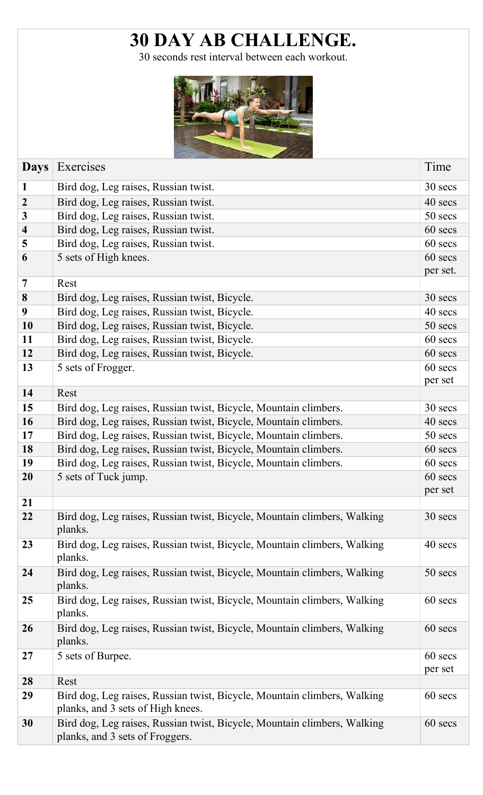## 30 DAY AB CHALLENGE.

30 seconds rest interval between each workout.



| <b>Days</b>             | Exercises                                                                                                     | Time               |
|-------------------------|---------------------------------------------------------------------------------------------------------------|--------------------|
| $\mathbf{1}$            | Bird dog, Leg raises, Russian twist.                                                                          | 30 secs            |
| $\overline{2}$          | Bird dog, Leg raises, Russian twist.                                                                          | 40 secs            |
| $\mathbf{3}$            | Bird dog, Leg raises, Russian twist.                                                                          | 50 secs            |
| $\overline{\mathbf{4}}$ | Bird dog, Leg raises, Russian twist.                                                                          | 60 secs            |
| 5                       | Bird dog, Leg raises, Russian twist.                                                                          | 60 secs            |
| 6                       | 5 sets of High knees.                                                                                         | 60 secs            |
|                         |                                                                                                               | per set.           |
| 7                       | Rest                                                                                                          |                    |
| 8                       | Bird dog, Leg raises, Russian twist, Bicycle.                                                                 | 30 secs            |
| $\boldsymbol{9}$        | Bird dog, Leg raises, Russian twist, Bicycle.                                                                 | 40 secs            |
| 10                      | Bird dog, Leg raises, Russian twist, Bicycle.                                                                 | 50 secs            |
| 11                      | Bird dog, Leg raises, Russian twist, Bicycle.                                                                 | 60 secs            |
| 12                      | Bird dog, Leg raises, Russian twist, Bicycle.                                                                 | 60 secs            |
| 13                      | 5 sets of Frogger.                                                                                            | 60 secs            |
|                         |                                                                                                               | per set            |
| 14                      | Rest                                                                                                          |                    |
| 15                      | Bird dog, Leg raises, Russian twist, Bicycle, Mountain climbers.                                              | 30 secs            |
| 16                      | Bird dog, Leg raises, Russian twist, Bicycle, Mountain climbers.                                              | 40 secs            |
| 17                      | Bird dog, Leg raises, Russian twist, Bicycle, Mountain climbers.                                              | 50 secs            |
| 18                      | Bird dog, Leg raises, Russian twist, Bicycle, Mountain climbers.                                              | 60 secs            |
| 19                      | Bird dog, Leg raises, Russian twist, Bicycle, Mountain climbers.                                              | 60 secs            |
| 20                      | 5 sets of Tuck jump.                                                                                          | 60 secs            |
|                         |                                                                                                               | per set            |
| 21                      |                                                                                                               |                    |
| 22                      | Bird dog, Leg raises, Russian twist, Bicycle, Mountain climbers, Walking<br>planks.                           | 30 secs            |
| 23                      | Bird dog, Leg raises, Russian twist, Bicycle, Mountain climbers, Walking<br>planks.                           | 40 secs            |
| 24                      | Bird dog, Leg raises, Russian twist, Bicycle, Mountain climbers, Walking<br>planks.                           | 50 secs            |
| 25                      | Bird dog, Leg raises, Russian twist, Bicycle, Mountain climbers, Walking<br>planks.                           | 60 secs            |
| 26                      | Bird dog, Leg raises, Russian twist, Bicycle, Mountain climbers, Walking<br>planks.                           | 60 secs            |
| 27                      | 5 sets of Burpee.                                                                                             | 60 secs<br>per set |
| 28                      | Rest                                                                                                          |                    |
| 29                      | Bird dog, Leg raises, Russian twist, Bicycle, Mountain climbers, Walking<br>planks, and 3 sets of High knees. | 60 secs            |
| 30                      | Bird dog, Leg raises, Russian twist, Bicycle, Mountain climbers, Walking<br>planks, and 3 sets of Froggers.   | 60 secs            |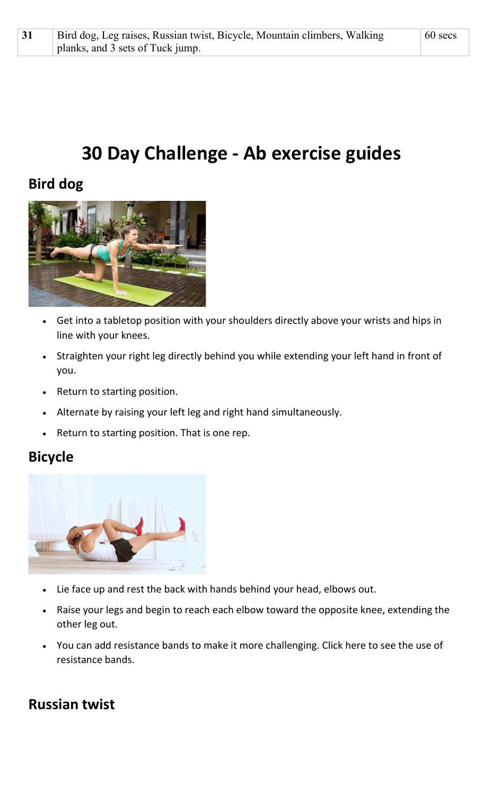# 30 Day Challenge - Ab exercise guides

## Bird dog



- Get into a tabletop position with your shoulders directly above your wrists and hips in line with your knees.
- Straighten your right leg directly behind you while extending your left hand in front of you.
- Return to starting position.
- Alternate by raising your left leg and right hand simultaneously.
- Return to starting position. That is one rep.

#### Bicycle



- Lie face up and rest the back with hands behind your head, elbows out.
- Raise your legs and begin to reach each elbow toward the opposite knee, extending the other leg out.
- You can add resistance bands to make it more challenging. Click here to see the use of resistance bands.

## Russian twist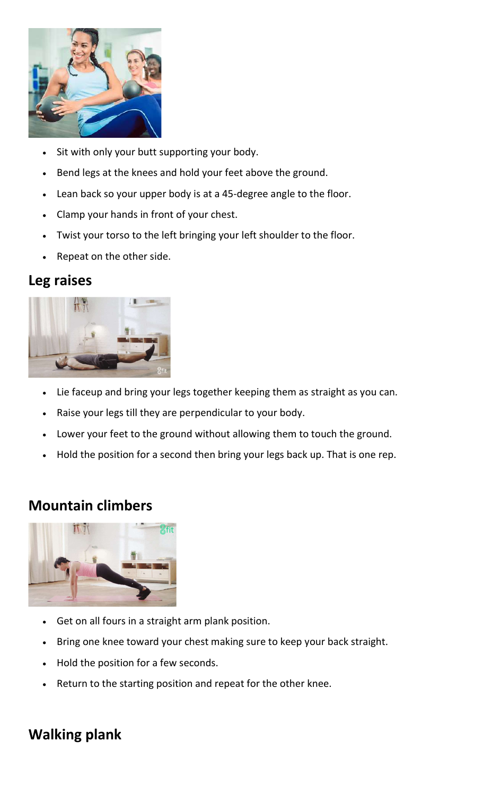

- Sit with only your butt supporting your body.
- Bend legs at the knees and hold your feet above the ground.
- Lean back so your upper body is at a 45-degree angle to the floor.
- Clamp your hands in front of your chest.
- Twist your torso to the left bringing your left shoulder to the floor.
- Repeat on the other side.

#### Leg raises



- Lie faceup and bring your legs together keeping them as straight as you can.
- Raise your legs till they are perpendicular to your body.
- Lower your feet to the ground without allowing them to touch the ground.
- Hold the position for a second then bring your legs back up. That is one rep.

#### Mountain climbers



- Get on all fours in a straight arm plank position.
- Bring one knee toward your chest making sure to keep your back straight.
- Hold the position for a few seconds.
- Return to the starting position and repeat for the other knee.

## Walking plank